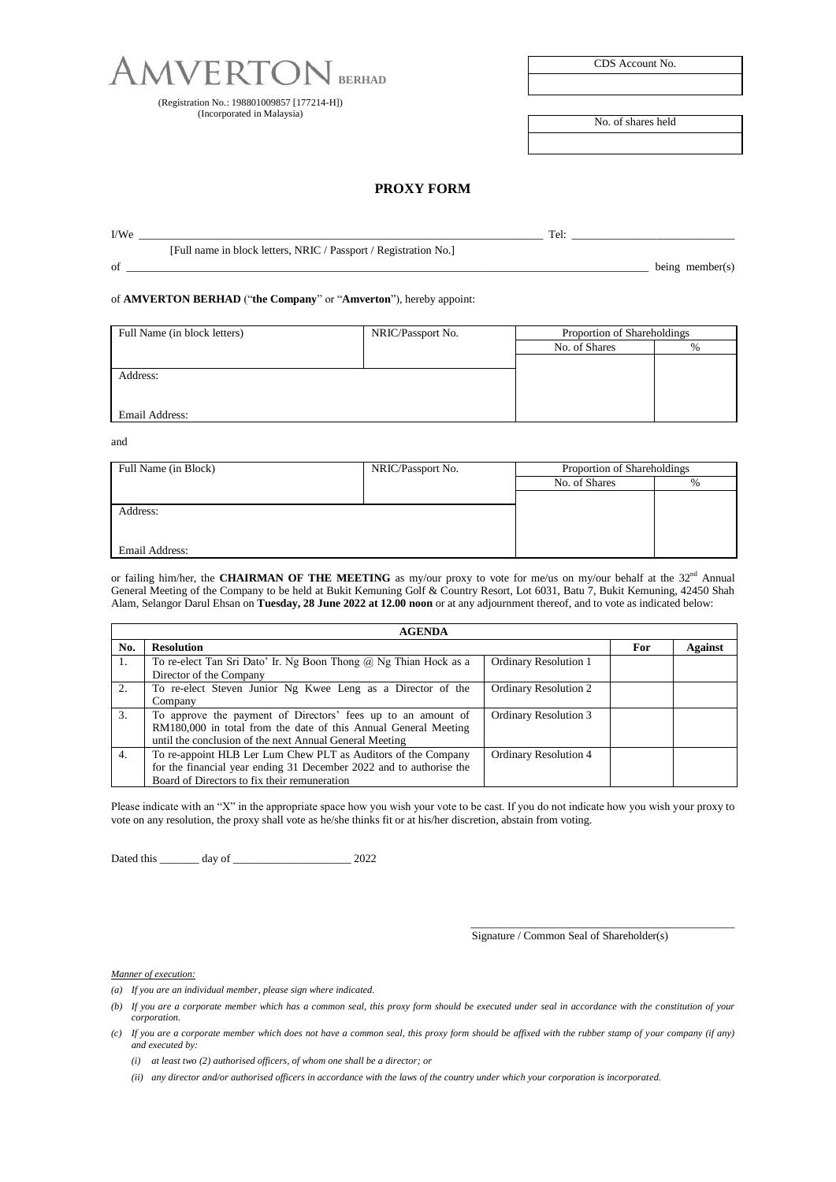

(Registration No.: 198801009857 [177214-H]) (Incorporated in Malaysia)

| CDS Account No. |
|-----------------|
|-----------------|

No. of shares held

## **PROXY FORM**

| I/We |                                                                  | Tel. |                    |
|------|------------------------------------------------------------------|------|--------------------|
|      | [Full name in block letters, NRIC / Passport / Registration No.] |      |                    |
| of   |                                                                  |      | being member $(s)$ |

of **AMVERTON BERHAD** ("**the Company**" or "**Amverton**"), hereby appoint:

| Full Name (in block letters) | NRIC/Passport No. | Proportion of Shareholdings |      |
|------------------------------|-------------------|-----------------------------|------|
|                              |                   | No. of Shares               | $\%$ |
|                              |                   |                             |      |
| Address:                     |                   |                             |      |
|                              |                   |                             |      |
|                              |                   |                             |      |
| Email Address:               |                   |                             |      |

and

| Full Name (in Block)       | NRIC/Passport No. | Proportion of Shareholdings |      |  |
|----------------------------|-------------------|-----------------------------|------|--|
|                            |                   | No. of Shares               | $\%$ |  |
|                            |                   |                             |      |  |
| Address:<br>Email Address: |                   |                             |      |  |
|                            |                   |                             |      |  |
|                            |                   |                             |      |  |
|                            |                   |                             |      |  |

or failing him/her, the **CHAIRMAN OF THE MEETING** as my/our proxy to vote for me/us on my/our behalf at the 32<sup>nd</sup> Annual General Meeting of the Company to be held at Bukit Kemuning Golf & Country Resort, Lot 6031, Batu 7, Bukit Kemuning, 42450 Shah Alam, Selangor Darul Ehsan on **Tuesday, 28 June 2022 at 12.00 noon** or at any adjournment thereof, and to vote as indicated below:

| <b>AGENDA</b> |                                                                                                                                                                                            |                              |            |         |  |  |
|---------------|--------------------------------------------------------------------------------------------------------------------------------------------------------------------------------------------|------------------------------|------------|---------|--|--|
| No.           | <b>Resolution</b>                                                                                                                                                                          |                              | <b>For</b> | Against |  |  |
| 1.            | To re-elect Tan Sri Dato' Ir. Ng Boon Thong $(a)$ Ng Thian Hock as a<br>Director of the Company                                                                                            | <b>Ordinary Resolution 1</b> |            |         |  |  |
| 2.            | To re-elect Steven Junior Ng Kwee Leng as a Director of the<br>Company                                                                                                                     | <b>Ordinary Resolution 2</b> |            |         |  |  |
| 3.            | To approve the payment of Directors' fees up to an amount of<br>RM180,000 in total from the date of this Annual General Meeting<br>until the conclusion of the next Annual General Meeting | <b>Ordinary Resolution 3</b> |            |         |  |  |
| 4.            | To re-appoint HLB Ler Lum Chew PLT as Auditors of the Company<br>for the financial year ending 31 December 2022 and to authorise the<br>Board of Directors to fix their remuneration       | <b>Ordinary Resolution 4</b> |            |         |  |  |

Please indicate with an "X" in the appropriate space how you wish your vote to be cast. If you do not indicate how you wish your proxy to vote on any resolution, the proxy shall vote as he/she thinks fit or at his/her discretion, abstain from voting.

Dated this \_\_\_\_\_\_\_ day of \_\_\_\_\_\_\_\_\_\_\_\_\_\_\_\_\_\_\_\_\_ 2022

Signature / Common Seal of Shareholder(s)

\_\_\_\_\_\_\_\_\_\_\_\_\_\_\_\_\_\_\_\_\_\_\_\_\_\_\_\_\_\_\_\_\_\_\_\_\_\_\_\_\_\_\_\_\_\_\_

## *Manner of execution:*

- *(a) If you are an individual member, please sign where indicated.*
- *(b) If you are a corporate member which has a common seal, this proxy form should be executed under seal in accordance with the constitution of your corporation.*
- *(c) If you are a corporate member which does not have a common seal, this proxy form should be affixed with the rubber stamp of your company (if any) and executed by:*
	- *(i) at least two (2) authorised officers, of whom one shall be a director; or*
	- *(ii) any director and/or authorised officers in accordance with the laws of the country under which your corporation is incorporated.*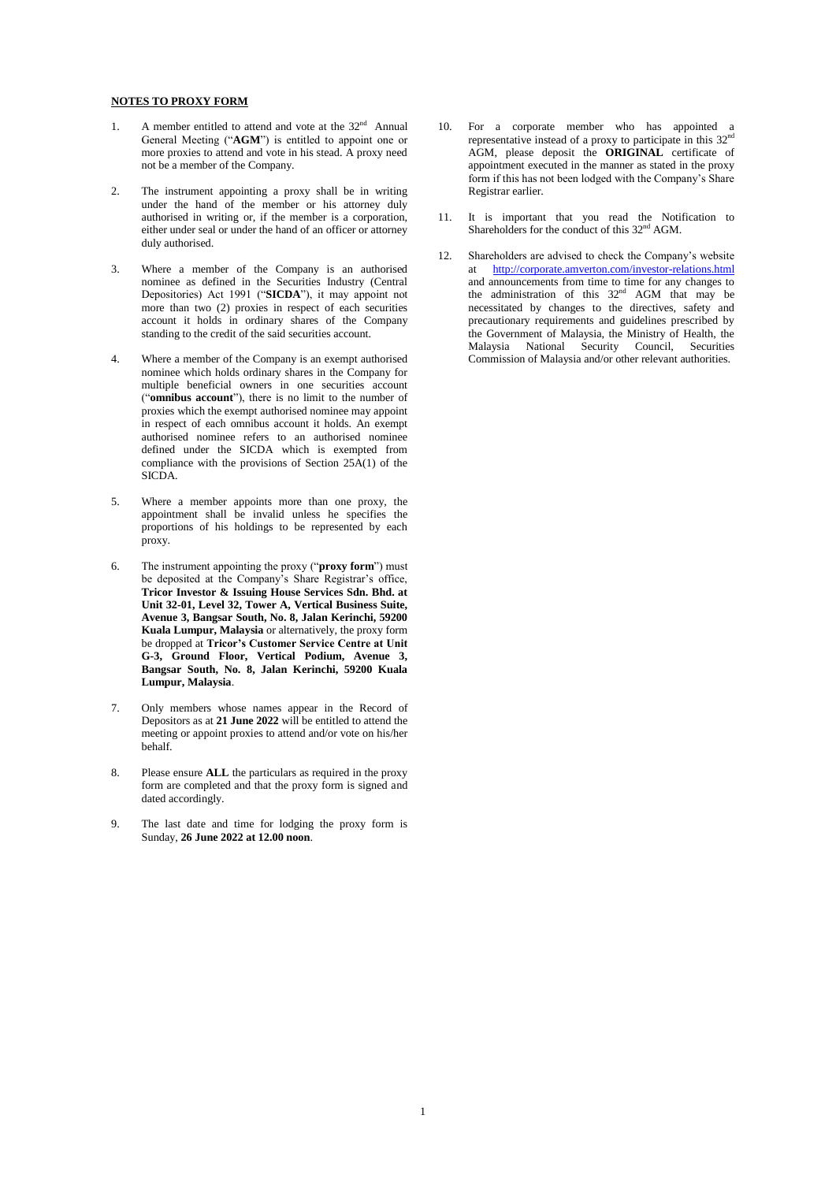## **NOTES TO PROXY FORM**

- 1. A member entitled to attend and vote at the  $32<sup>nd</sup>$  Annual General Meeting ("**AGM**") is entitled to appoint one or more proxies to attend and vote in his stead. A proxy need not be a member of the Company.
- 2. The instrument appointing a proxy shall be in writing under the hand of the member or his attorney duly authorised in writing or, if the member is a corporation, either under seal or under the hand of an officer or attorney duly authorised.
- 3. Where a member of the Company is an authorised nominee as defined in the Securities Industry (Central Depositories) Act 1991 ("**SICDA**"), it may appoint not more than two (2) proxies in respect of each securities account it holds in ordinary shares of the Company standing to the credit of the said securities account.
- 4. Where a member of the Company is an exempt authorised nominee which holds ordinary shares in the Company for multiple beneficial owners in one securities account ("**omnibus account**"), there is no limit to the number of proxies which the exempt authorised nominee may appoint in respect of each omnibus account it holds. An exempt authorised nominee refers to an authorised nominee defined under the SICDA which is exempted from compliance with the provisions of Section  $25\text{\AA}(1)$  of the SICDA.
- 5. Where a member appoints more than one proxy, the appointment shall be invalid unless he specifies the proportions of his holdings to be represented by each proxy.
- 6. The instrument appointing the proxy ("**proxy form**") must be deposited at the Company's Share Registrar's office, **Tricor Investor & Issuing House Services Sdn. Bhd. at Unit 32-01, Level 32, Tower A, Vertical Business Suite, Avenue 3, Bangsar South, No. 8, Jalan Kerinchi, 59200 Kuala Lumpur, Malaysia** or alternatively, the proxy form be dropped at **Tricor's Customer Service Centre at Unit G-3, Ground Floor, Vertical Podium, Avenue 3, Bangsar South, No. 8, Jalan Kerinchi, 59200 Kuala Lumpur, Malaysia**.
- 7. Only members whose names appear in the Record of Depositors as at **21 June 2022** will be entitled to attend the meeting or appoint proxies to attend and/or vote on his/her behalf.
- 8. Please ensure **ALL** the particulars as required in the proxy form are completed and that the proxy form is signed and dated accordingly.
- 9. The last date and time for lodging the proxy form is Sunday, **26 June 2022 at 12.00 noon**.
- 10. For a corporate member who has appointed a representative instead of a proxy to participate in this  $32<sup>nd</sup>$ AGM, please deposit the **ORIGINAL** certificate of appointment executed in the manner as stated in the proxy form if this has not been lodged with the Company's Share Registrar earlier.
- 11. It is important that you read the Notification to Shareholders for the conduct of this  $32<sup>nd</sup>$  AGM.
- 12. Shareholders are advised to check the Company's website at <http://corporate.amverton.com/investor-relations.html> and announcements from time to time for any changes to the administration of this  $32<sup>nd</sup>$  AGM that may be necessitated by changes to the directives, safety and precautionary requirements and guidelines prescribed by the Government of Malaysia, the Ministry of Health, the Malaysia National Security Council, Securities Commission of Malaysia and/or other relevant authorities.